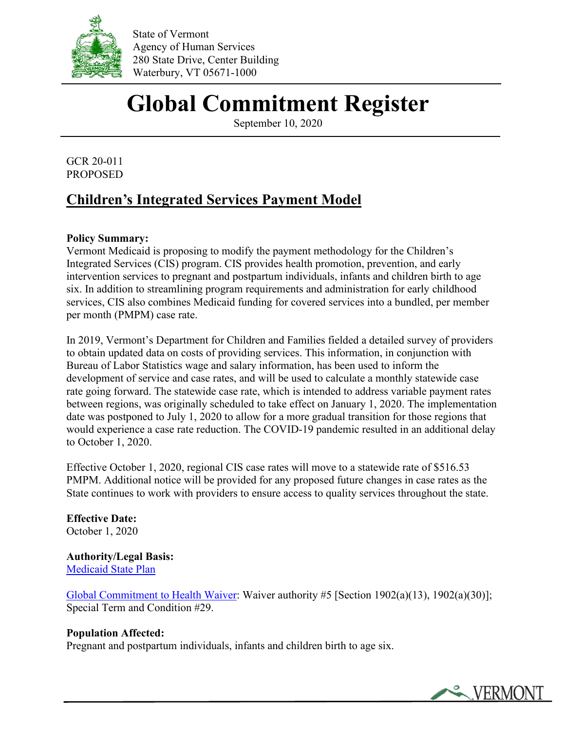

State of Vermont Agency of Human Services 280 State Drive, Center Building Waterbury, VT 05671-1000

# **Global Commitment Register**

September 10, 2020

GCR 20-011 PROPOSED

## **Children's Integrated Services Payment Model**

### **Policy Summary:**

Vermont Medicaid is proposing to modify the payment methodology for the Children's Integrated Services (CIS) program. CIS provides health promotion, prevention, and early intervention services to pregnant and postpartum individuals, infants and children birth to age six. In addition to streamlining program requirements and administration for early childhood services, CIS also combines Medicaid funding for covered services into a bundled, per member per month (PMPM) case rate.

In 2019, Vermont's Department for Children and Families fielded a detailed survey of providers to obtain updated data on costs of providing services. This information, in conjunction with Bureau of Labor Statistics wage and salary information, has been used to inform the development of service and case rates, and will be used to calculate a monthly statewide case rate going forward. The statewide case rate, which is intended to address variable payment rates between regions, was originally scheduled to take effect on January 1, 2020. The implementation date was postponed to July 1, 2020 to allow for a more gradual transition for those regions that would experience a case rate reduction. The COVID-19 pandemic resulted in an additional delay to October 1, 2020.

Effective October 1, 2020, regional CIS case rates will move to a statewide rate of \$516.53 PMPM. Additional notice will be provided for any proposed future changes in case rates as the State continues to work with providers to ensure access to quality services throughout the state.

**Effective Date:** October 1, 2020

**Authority/Legal Basis:**  [Medicaid State Plan](http://dvha.vermont.gov/administration/state-plan)

[Global Commitment to Health Waiver:](http://dvha.vermont.gov/global-commitment-to-health/global-commitment-to-health-1115-waiver-2018-documents) Waiver authority #5 [Section 1902(a)(13), 1902(a)(30)]; Special Term and Condition #29.

#### **Population Affected:**

Pregnant and postpartum individuals, infants and children birth to age six.